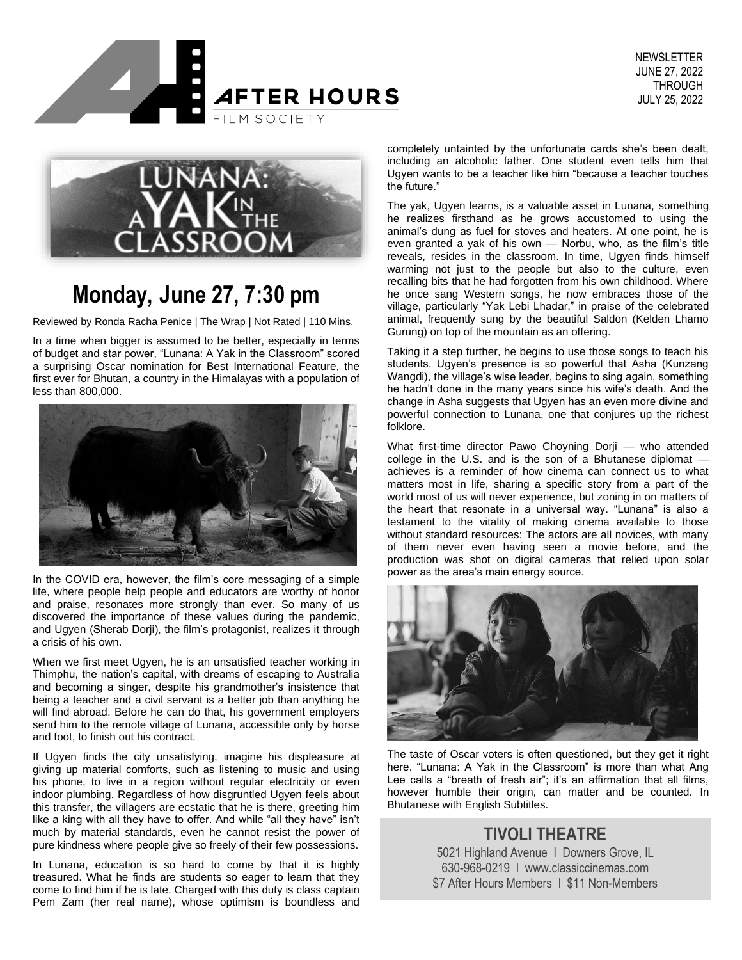



# **Monday, June 27, 7:30 pm**

Reviewed by Ronda Racha Penice | The Wrap | Not Rated | 110 Mins.

In a time when bigger is assumed to be better, especially in terms of budget and star power, "Lunana: A Yak in the Classroom" scored a surprising Oscar nomination for Best International Feature, the first ever for Bhutan, a country in the Himalayas with a population of less than 800,000.



In the COVID era, however, the film's core messaging of a simple life, where people help people and educators are worthy of honor and praise, resonates more strongly than ever. So many of us discovered the importance of these values during the pandemic, and Ugyen (Sherab Dorji), the film's protagonist, realizes it through a crisis of his own.

When we first meet Ugyen, he is an unsatisfied teacher working in Thimphu, the nation's capital, with dreams of escaping to Australia and becoming a singer, despite his grandmother's insistence that being a teacher and a civil servant is a better job than anything he will find abroad. Before he can do that, his government employers send him to the remote village of Lunana, accessible only by horse and foot, to finish out his contract.

If Ugyen finds the city unsatisfying, imagine his displeasure at giving up material comforts, such as listening to music and using his phone, to live in a region without regular electricity or even indoor plumbing. Regardless of how disgruntled Ugyen feels about this transfer, the villagers are ecstatic that he is there, greeting him like a king with all they have to offer. And while "all they have" isn't much by material standards, even he cannot resist the power of pure kindness where people give so freely of their few possessions.

In Lunana, education is so hard to come by that it is highly treasured. What he finds are students so eager to learn that they come to find him if he is late. Charged with this duty is class captain Pem Zam (her real name), whose optimism is boundless and

completely untainted by the unfortunate cards she's been dealt, including an alcoholic father. One student even tells him that Ugyen wants to be a teacher like him "because a teacher touches the future."

The yak, Ugyen learns, is a valuable asset in Lunana, something he realizes firsthand as he grows accustomed to using the animal's dung as fuel for stoves and heaters. At one point, he is even granted a yak of his own — Norbu, who, as the film's title reveals, resides in the classroom. In time, Ugyen finds himself warming not just to the people but also to the culture, even recalling bits that he had forgotten from his own childhood. Where he once sang Western songs, he now embraces those of the village, particularly "Yak Lebi Lhadar," in praise of the celebrated animal, frequently sung by the beautiful Saldon (Kelden Lhamo Gurung) on top of the mountain as an offering.

Taking it a step further, he begins to use those songs to teach his students. Ugyen's presence is so powerful that Asha (Kunzang Wangdi), the village's wise leader, begins to sing again, something he hadn't done in the many years since his wife's death. And the change in Asha suggests that Ugyen has an even more divine and powerful connection to Lunana, one that conjures up the richest folklore.

What first-time director Pawo Choyning Dorji — who attended college in the U.S. and is the son of a Bhutanese diplomat achieves is a reminder of how cinema can connect us to what matters most in life, sharing a specific story from a part of the world most of us will never experience, but zoning in on matters of the heart that resonate in a universal way. "Lunana" is also a testament to the vitality of making cinema available to those without standard resources: The actors are all novices, with many of them never even having seen a movie before, and the production was shot on digital cameras that relied upon solar power as the area's main energy source.



The taste of Oscar voters is often questioned, but they get it right here. "Lunana: A Yak in the Classroom" is more than what Ang Lee calls a "breath of fresh air"; it's an affirmation that all films, however humble their origin, can matter and be counted. In Bhutanese with English Subtitles.

#### **TIVOLI THEATRE**

5021 Highland Avenue I Downers Grove, IL 630-968-0219 I www.classiccinemas.com \$7 After Hours Members I \$11 Non-Members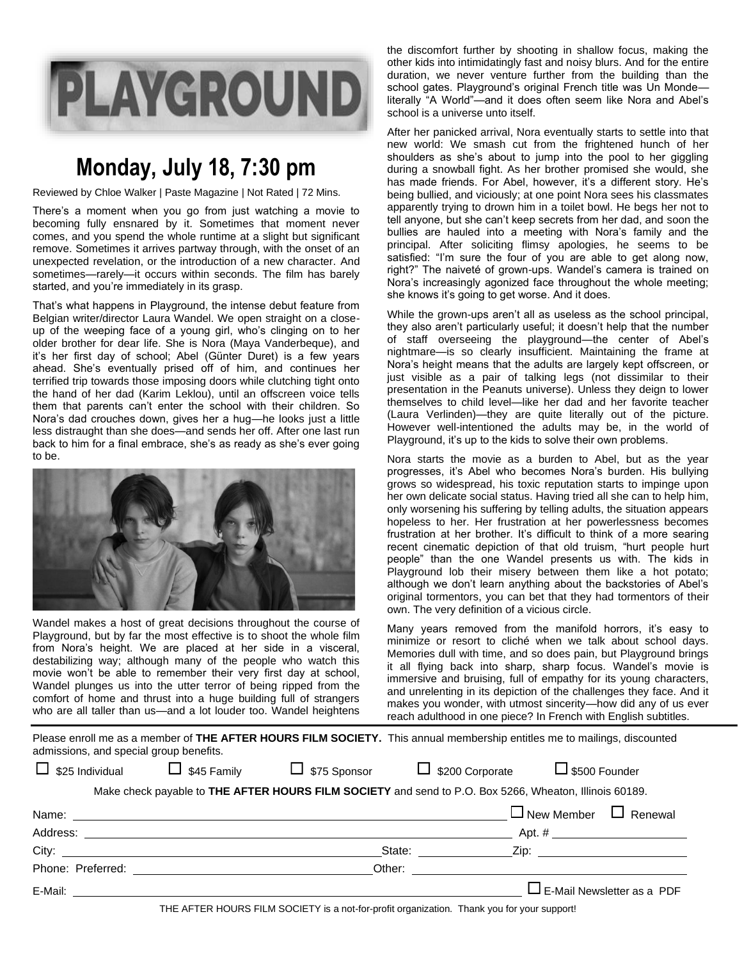

## **Monday, July 18, 7:30 pm**

Reviewed by Chloe Walker | Paste Magazine | Not Rated | 72 Mins.

There's a moment when you go from just watching a movie to becoming fully ensnared by it. Sometimes that moment never comes, and you spend the whole runtime at a slight but significant remove. Sometimes it arrives partway through, with the onset of an unexpected revelation, or the introduction of a new character. And sometimes—rarely—it occurs within seconds. The film has barely started, and you're immediately in its grasp.

That's what happens in Playground, the intense debut feature from Belgian writer/director Laura Wandel. We open straight on a closeup of the weeping face of a young girl, who's clinging on to her older brother for dear life. She is Nora (Maya Vanderbeque), and it's her first day of school; Abel (Günter Duret) is a few years ahead. She's eventually prised off of him, and continues her terrified trip towards those imposing doors while clutching tight onto the hand of her dad (Karim Leklou), until an offscreen voice tells them that parents can't enter the school with their children. So Nora's dad crouches down, gives her a hug—he looks just a little less distraught than she does—and sends her off. After one last run back to him for a final embrace, she's as ready as she's ever going to be.



Wandel makes a host of great decisions throughout the course of Playground, but by far the most effective is to shoot the whole film from Nora's height. We are placed at her side in a visceral, destabilizing way; although many of the people who watch this movie won't be able to remember their very first day at school, Wandel plunges us into the utter terror of being ripped from the comfort of home and thrust into a huge building full of strangers who are all taller than us—and a lot louder too. Wandel heightens

the discomfort further by shooting in shallow focus, making the other kids into intimidatingly fast and noisy blurs. And for the entire duration, we never venture further from the building than the school gates. Playground's original French title was Un Monde literally "A World"—and it does often seem like Nora and Abel's school is a universe unto itself.

After her panicked arrival, Nora eventually starts to settle into that new world: We smash cut from the frightened hunch of her shoulders as she's about to jump into the pool to her giggling during a snowball fight. As her brother promised she would, she has made friends. For Abel, however, it's a different story. He's being bullied, and viciously; at one point Nora sees his classmates apparently trying to drown him in a toilet bowl. He begs her not to tell anyone, but she can't keep secrets from her dad, and soon the bullies are hauled into a meeting with Nora's family and the principal. After soliciting flimsy apologies, he seems to be satisfied: "I'm sure the four of you are able to get along now, right?" The naiveté of grown-ups. Wandel's camera is trained on Nora's increasingly agonized face throughout the whole meeting; she knows it's going to get worse. And it does.

While the grown-ups aren't all as useless as the school principal, they also aren't particularly useful; it doesn't help that the number of staff overseeing the playground—the center of Abel's nightmare—is so clearly insufficient. Maintaining the frame at Nora's height means that the adults are largely kept offscreen, or just visible as a pair of talking legs (not dissimilar to their presentation in the Peanuts universe). Unless they deign to lower themselves to child level—like her dad and her favorite teacher (Laura Verlinden)—they are quite literally out of the picture. However well-intentioned the adults may be, in the world of Playground, it's up to the kids to solve their own problems.

Nora starts the movie as a burden to Abel, but as the year progresses, it's Abel who becomes Nora's burden. His bullying grows so widespread, his toxic reputation starts to impinge upon her own delicate social status. Having tried all she can to help him, only worsening his suffering by telling adults, the situation appears hopeless to her. Her frustration at her powerlessness becomes frustration at her brother. It's difficult to think of a more searing recent cinematic depiction of that old truism, "hurt people hurt people" than the one Wandel presents us with. The kids in Playground lob their misery between them like a hot potato; although we don't learn anything about the backstories of Abel's original tormentors, you can bet that they had tormentors of their own. The very definition of a vicious circle.

Many years removed from the manifold horrors, it's easy to minimize or resort to cliché when we talk about school days. Memories dull with time, and so does pain, but Playground brings it all flying back into sharp, sharp focus. Wandel's movie is immersive and bruising, full of empathy for its young characters, and unrelenting in its depiction of the challenges they face. And it makes you wonder, with utmost sincerity—how did any of us ever reach adulthood in one piece? In French with English subtitles.

Please enroll me as a member of **THE AFTER HOURS FILM SOCIETY.** This annual membership entitles me to mailings, discounted admissions, and special group benefits.

|  | $\Box$ \$25 Individual |
|--|------------------------|
|--|------------------------|

 $\Box$  \$45 Family  $\Box$  \$75 Sponsor  $\Box$  \$200 Corporate  $\Box$  \$500 Founder

| Name:<br><u> 1989 - John Stone, Amerikaans en Stone († 1989)</u> |        | $\Box$ New Member $\Box$ Renewal                                                                                                                                                                                               |
|------------------------------------------------------------------|--------|--------------------------------------------------------------------------------------------------------------------------------------------------------------------------------------------------------------------------------|
| Address:                                                         |        |                                                                                                                                                                                                                                |
| City: City:                                                      | State: | Zip: The contract of the contract of the contract of the contract of the contract of the contract of the contract of the contract of the contract of the contract of the contract of the contract of the contract of the contr |
| Phone: Preferred:                                                | Other: |                                                                                                                                                                                                                                |
| E-Mail:                                                          |        | $\Box$ E-Mail Newsletter as a PDF                                                                                                                                                                                              |

THE AFTER HOURS FILM SOCIETY is a not-for-profit organization. Thank you for your support!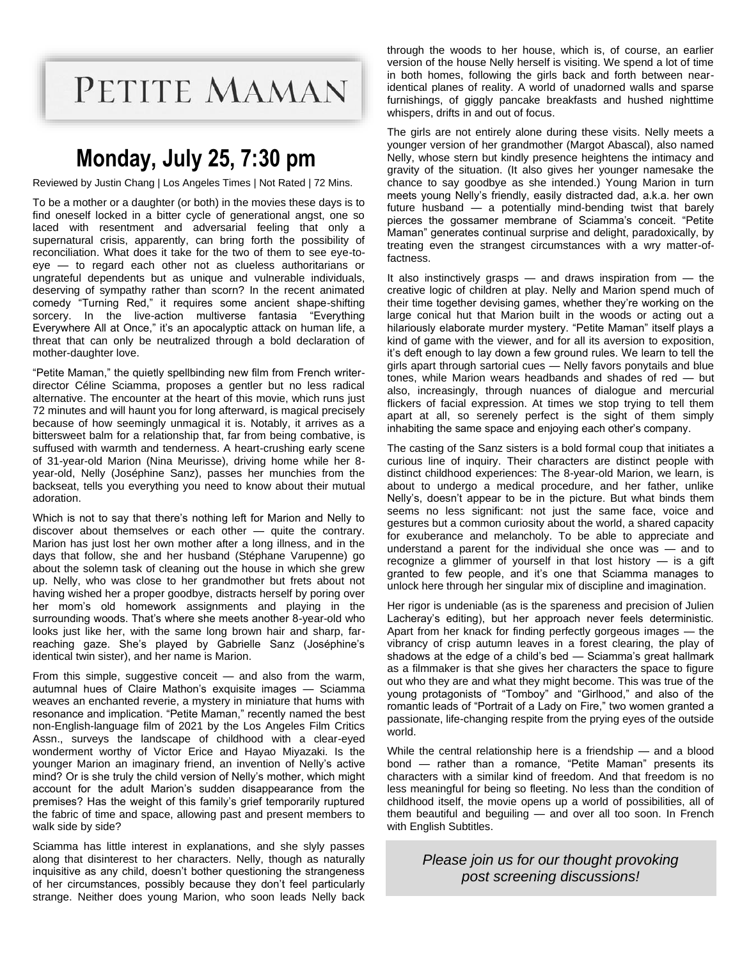PETITE MAMAN

# **Monday, July 25, 7:30 pm**

Reviewed by Justin Chang | Los Angeles Times | Not Rated | 72 Mins.

To be a mother or a daughter (or both) in the movies these days is to find oneself locked in a bitter cycle of generational angst, one so laced with resentment and adversarial feeling that only a supernatural crisis, apparently, can bring forth the possibility of reconciliation. What does it take for the two of them to see eye-toeye — to regard each other not as clueless authoritarians or ungrateful dependents but as unique and vulnerable individuals, deserving of sympathy rather than scorn? In the recent animated comedy "Turning Red," it requires some ancient shape-shifting sorcery. In the live-action multiverse fantasia "Everything Everywhere All at Once," it's an apocalyptic attack on human life, a threat that can only be neutralized through a bold declaration of mother-daughter love.

"Petite Maman," the quietly spellbinding new film from French writerdirector Céline Sciamma, proposes a gentler but no less radical alternative. The encounter at the heart of this movie, which runs just 72 minutes and will haunt you for long afterward, is magical precisely because of how seemingly unmagical it is. Notably, it arrives as a bittersweet balm for a relationship that, far from being combative, is suffused with warmth and tenderness. A heart-crushing early scene of 31-year-old Marion (Nina Meurisse), driving home while her 8 year-old, Nelly (Joséphine Sanz), passes her munchies from the backseat, tells you everything you need to know about their mutual adoration.

Which is not to say that there's nothing left for Marion and Nelly to discover about themselves or each other — quite the contrary. Marion has just lost her own mother after a long illness, and in the days that follow, she and her husband (Stéphane Varupenne) go about the solemn task of cleaning out the house in which she grew up. Nelly, who was close to her grandmother but frets about not having wished her a proper goodbye, distracts herself by poring over her mom's old homework assignments and playing in the surrounding woods. That's where she meets another 8-year-old who looks just like her, with the same long brown hair and sharp, farreaching gaze. She's played by Gabrielle Sanz (Joséphine's identical twin sister), and her name is Marion.

From this simple, suggestive conceit  $-$  and also from the warm, autumnal hues of Claire Mathon's exquisite images — Sciamma weaves an enchanted reverie, a mystery in miniature that hums with resonance and implication. "Petite Maman," recently named the best non-English-language film of 2021 by the Los Angeles Film Critics Assn., surveys the landscape of childhood with a clear-eyed wonderment worthy of Victor Erice and Hayao Miyazaki. Is the younger Marion an imaginary friend, an invention of Nelly's active mind? Or is she truly the child version of Nelly's mother, which might account for the adult Marion's sudden disappearance from the premises? Has the weight of this family's grief temporarily ruptured the fabric of time and space, allowing past and present members to walk side by side?

Sciamma has little interest in explanations, and she slyly passes along that disinterest to her characters. Nelly, though as naturally inquisitive as any child, doesn't bother questioning the strangeness of her circumstances, possibly because they don't feel particularly strange. Neither does young Marion, who soon leads Nelly back through the woods to her house, which is, of course, an earlier version of the house Nelly herself is visiting. We spend a lot of time in both homes, following the girls back and forth between nearidentical planes of reality. A world of unadorned walls and sparse furnishings, of giggly pancake breakfasts and hushed nighttime whispers, drifts in and out of focus.

The girls are not entirely alone during these visits. Nelly meets a younger version of her grandmother (Margot Abascal), also named Nelly, whose stern but kindly presence heightens the intimacy and gravity of the situation. (It also gives her younger namesake the chance to say goodbye as she intended.) Young Marion in turn meets young Nelly's friendly, easily distracted dad, a.k.a. her own future husband — a potentially mind-bending twist that barely pierces the gossamer membrane of Sciamma's conceit. "Petite Maman" generates continual surprise and delight, paradoxically, by treating even the strangest circumstances with a wry matter-offactness.

It also instinctively grasps — and draws inspiration from — the creative logic of children at play. Nelly and Marion spend much of their time together devising games, whether they're working on the large conical hut that Marion built in the woods or acting out a hilariously elaborate murder mystery. "Petite Maman" itself plays a kind of game with the viewer, and for all its aversion to exposition, it's deft enough to lay down a few ground rules. We learn to tell the girls apart through sartorial cues — Nelly favors ponytails and blue tones, while Marion wears headbands and shades of red — but also, increasingly, through nuances of dialogue and mercurial flickers of facial expression. At times we stop trying to tell them apart at all, so serenely perfect is the sight of them simply inhabiting the same space and enjoying each other's company.

The casting of the Sanz sisters is a bold formal coup that initiates a curious line of inquiry. Their characters are distinct people with distinct childhood experiences: The 8-year-old Marion, we learn, is about to undergo a medical procedure, and her father, unlike Nelly's, doesn't appear to be in the picture. But what binds them seems no less significant: not just the same face, voice and gestures but a common curiosity about the world, a shared capacity for exuberance and melancholy. To be able to appreciate and understand a parent for the individual she once was — and to recognize a glimmer of yourself in that lost history  $-$  is a gift granted to few people, and it's one that Sciamma manages to unlock here through her singular mix of discipline and imagination.

Her rigor is undeniable (as is the spareness and precision of Julien Lacheray's editing), but her approach never feels deterministic. Apart from her knack for finding perfectly gorgeous images — the vibrancy of crisp autumn leaves in a forest clearing, the play of shadows at the edge of a child's bed — Sciamma's great hallmark as a filmmaker is that she gives her characters the space to figure out who they are and what they might become. This was true of the young protagonists of "Tomboy" and "Girlhood," and also of the romantic leads of "Portrait of a Lady on Fire," two women granted a passionate, life-changing respite from the prying eyes of the outside world.

While the central relationship here is a friendship — and a blood bond — rather than a romance, "Petite Maman" presents its characters with a similar kind of freedom. And that freedom is no less meaningful for being so fleeting. No less than the condition of childhood itself, the movie opens up a world of possibilities, all of them beautiful and beguiling — and over all too soon. In French with English Subtitles.

> *Please join us for our thought provoking post screening discussions!*